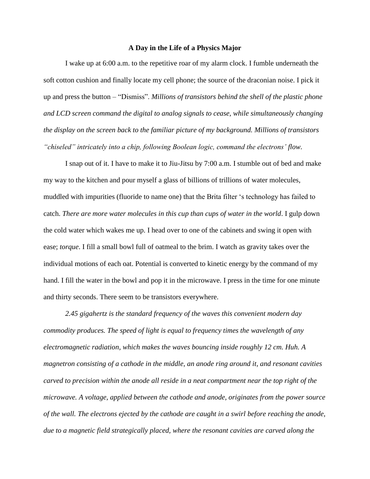## **A Day in the Life of a Physics Major**

I wake up at 6:00 a.m. to the repetitive roar of my alarm clock. I fumble underneath the soft cotton cushion and finally locate my cell phone; the source of the draconian noise. I pick it up and press the button – "Dismiss". *Millions of transistors behind the shell of the plastic phone and LCD screen command the digital to analog signals to cease, while simultaneously changing the display on the screen back to the familiar picture of my background. Millions of transistors "chiseled" intricately into a chip, following Boolean logic, command the electrons' flow.*

I snap out of it. I have to make it to Jiu-Jitsu by 7:00 a.m. I stumble out of bed and make my way to the kitchen and pour myself a glass of billions of trillions of water molecules, muddled with impurities (fluoride to name one) that the Brita filter 's technology has failed to catch. *There are more water molecules in this cup than cups of water in the world*. I gulp down the cold water which wakes me up. I head over to one of the cabinets and swing it open with ease; *torque*. I fill a small bowl full of oatmeal to the brim. I watch as gravity takes over the individual motions of each oat. Potential is converted to kinetic energy by the command of my hand. I fill the water in the bowl and pop it in the microwave. I press in the time for one minute and thirty seconds. There seem to be transistors everywhere.

*2.45 gigahertz is the standard frequency of the waves this convenient modern day commodity produces. The speed of light is equal to frequency times the wavelength of any electromagnetic radiation, which makes the waves bouncing inside roughly 12 cm. Huh. A magnetron consisting of a cathode in the middle, an anode ring around it, and resonant cavities carved to precision within the anode all reside in a neat compartment near the top right of the microwave. A voltage, applied between the cathode and anode, originates from the power source of the wall. The electrons ejected by the cathode are caught in a swirl before reaching the anode, due to a magnetic field strategically placed, where the resonant cavities are carved along the*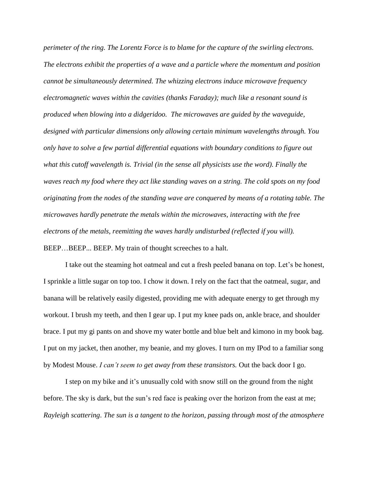*perimeter of the ring. The Lorentz Force is to blame for the capture of the swirling electrons. The electrons exhibit the properties of a wave and a particle where the momentum and position cannot be simultaneously determined. The whizzing electrons induce microwave frequency electromagnetic waves within the cavities (thanks Faraday); much like a resonant sound is produced when blowing into a didgeridoo. The microwaves are guided by the waveguide, designed with particular dimensions only allowing certain minimum wavelengths through. You only have to solve a few partial differential equations with boundary conditions to figure out what this cutoff wavelength is. Trivial (in the sense all physicists use the word). Finally the waves reach my food where they act like standing waves on a string. The cold spots on my food originating from the nodes of the standing wave are conquered by means of a rotating table. The microwaves hardly penetrate the metals within the microwaves, interacting with the free electrons of the metals, reemitting the waves hardly undisturbed (reflected if you will).* BEEP...BEEP... BEEP. My train of thought screeches to a halt.

I take out the steaming hot oatmeal and cut a fresh peeled banana on top. Let's be honest, I sprinkle a little sugar on top too. I chow it down. I rely on the fact that the oatmeal, sugar, and banana will be relatively easily digested, providing me with adequate energy to get through my workout. I brush my teeth, and then I gear up. I put my knee pads on, ankle brace, and shoulder brace. I put my gi pants on and shove my water bottle and blue belt and kimono in my book bag. I put on my jacket, then another, my beanie, and my gloves. I turn on my IPod to a familiar song by Modest Mouse. *I can't seem to get away from these transistors.* Out the back door I go.

I step on my bike and it's unusually cold with snow still on the ground from the night before. The sky is dark, but the sun's red face is peaking over the horizon from the east at me; *Rayleigh scattering*. *The sun is a tangent to the horizon, passing through most of the atmosphere*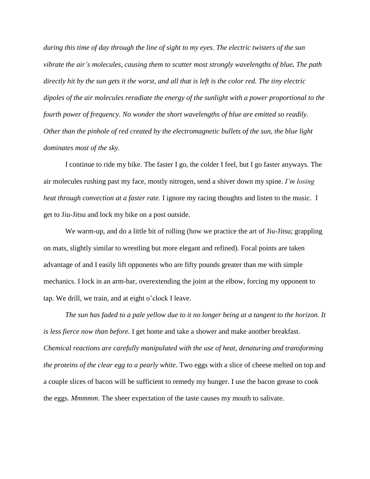*during this time of day through the line of sight to my eyes. The electric twisters of the sun vibrate the air's molecules, causing them to scatter most strongly wavelengths of blue. The path directly hit by the sun gets it the worst, and all that is left is the color red. The tiny electric dipoles of the air molecules reradiate the energy of the sunlight with a power proportional to the fourth power of frequency. No wonder the short wavelengths of blue are emitted so readily. Other than the pinhole of red created by the electromagnetic bullets of the sun, the blue light dominates most of the sky.* 

I continue to ride my bike. The faster I go, the colder I feel, but I go faster anyways. The air molecules rushing past my face, mostly nitrogen, send a shiver down my spine. *I'm losing heat through convection at a faster rate.* I ignore my racing thoughts and listen to the music. I get to Jiu-Jitsu and lock my bike on a post outside.

We warm-up, and do a little bit of rolling (how we practice the art of Jiu-Jitsu; grappling on mats, slightly similar to wrestling but more elegant and refined). Focal points are taken advantage of and I easily lift opponents who are fifty pounds greater than me with simple mechanics. I lock in an arm-bar, overextending the joint at the elbow, forcing my opponent to tap. We drill, we train, and at eight o'clock I leave.

*The sun has faded to a pale yellow due to it no longer being at a tangent to the horizon. It is less fierce now than before.* I get home and take a shower and make another breakfast. *Chemical reactions are carefully manipulated with the use of heat, denaturing and transforming the proteins of the clear egg to a pearly white.* Two eggs with a slice of cheese melted on top and a couple slices of bacon will be sufficient to remedy my hunger. I use the bacon grease to cook the eggs. *Mmmmm*. The sheer expectation of the taste causes my mouth to salivate.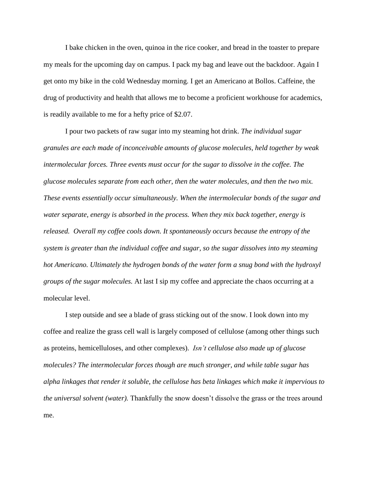I bake chicken in the oven, quinoa in the rice cooker, and bread in the toaster to prepare my meals for the upcoming day on campus. I pack my bag and leave out the backdoor. Again I get onto my bike in the cold Wednesday morning. I get an Americano at Bollos. Caffeine, the drug of productivity and health that allows me to become a proficient workhouse for academics, is readily available to me for a hefty price of \$2.07.

I pour two packets of raw sugar into my steaming hot drink. *The individual sugar granules are each made of inconceivable amounts of glucose molecules, held together by weak intermolecular forces. Three events must occur for the sugar to dissolve in the coffee. The glucose molecules separate from each other, then the water molecules, and then the two mix. These events essentially occur simultaneously. When the intermolecular bonds of the sugar and water separate, energy is absorbed in the process. When they mix back together, energy is released. Overall my coffee cools down. It spontaneously occurs because the entropy of the system is greater than the individual coffee and sugar, so the sugar dissolves into my steaming hot Americano. Ultimately the hydrogen bonds of the water form a snug bond with the hydroxyl groups of the sugar molecules.* At last I sip my coffee and appreciate the chaos occurring at a molecular level.

I step outside and see a blade of grass sticking out of the snow. I look down into my coffee and realize the grass cell wall is largely composed of cellulose (among other things such as proteins, hemicelluloses, and other complexes). *Isn't cellulose also made up of glucose molecules? The intermolecular forces though are much stronger, and while table sugar has alpha linkages that render it soluble, the cellulose has beta linkages which make it impervious to the universal solvent (water).* Thankfully the snow doesn't dissolve the grass or the trees around me.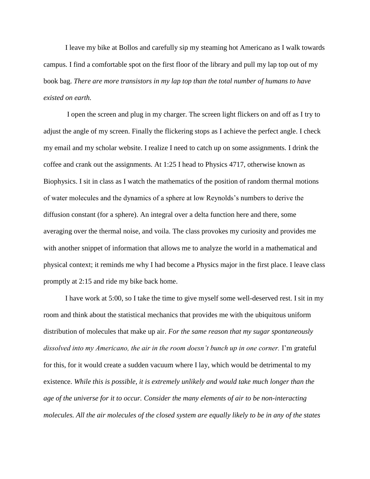I leave my bike at Bollos and carefully sip my steaming hot Americano as I walk towards campus. I find a comfortable spot on the first floor of the library and pull my lap top out of my book bag. *There are more transistors in my lap top than the total number of humans to have existed on earth.*

I open the screen and plug in my charger. The screen light flickers on and off as I try to adjust the angle of my screen. Finally the flickering stops as I achieve the perfect angle. I check my email and my scholar website. I realize I need to catch up on some assignments. I drink the coffee and crank out the assignments. At 1:25 I head to Physics 4717, otherwise known as Biophysics. I sit in class as I watch the mathematics of the position of random thermal motions of water molecules and the dynamics of a sphere at low Reynolds's numbers to derive the diffusion constant (for a sphere). An integral over a delta function here and there, some averaging over the thermal noise, and voila. The class provokes my curiosity and provides me with another snippet of information that allows me to analyze the world in a mathematical and physical context; it reminds me why I had become a Physics major in the first place. I leave class promptly at 2:15 and ride my bike back home.

I have work at 5:00, so I take the time to give myself some well-deserved rest. I sit in my room and think about the statistical mechanics that provides me with the ubiquitous uniform distribution of molecules that make up air. *For the same reason that my sugar spontaneously dissolved into my Americano, the air in the room doesn't bunch up in one corner.* I'm grateful for this, for it would create a sudden vacuum where I lay, which would be detrimental to my existence. *While this is possible, it is extremely unlikely and would take much longer than the age of the universe for it to occur. Consider the many elements of air to be non-interacting molecules. All the air molecules of the closed system are equally likely to be in any of the states*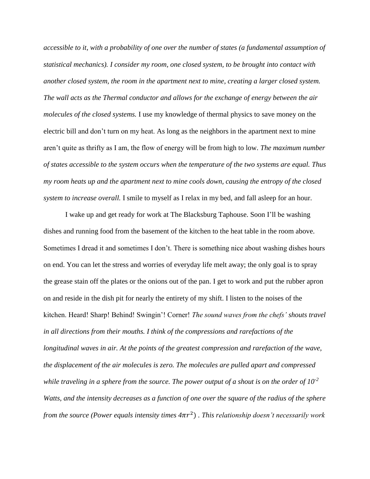*accessible to it, with a probability of one over the number of states (a fundamental assumption of statistical mechanics). I consider my room, one closed system, to be brought into contact with another closed system, the room in the apartment next to mine, creating a larger closed system. The wall acts as the Thermal conductor and allows for the exchange of energy between the air molecules of the closed systems.* I use my knowledge of thermal physics to save money on the electric bill and don't turn on my heat. As long as the neighbors in the apartment next to mine aren't quite as thrifty as I am, the flow of energy will be from high to low. *The maximum number of states accessible to the system occurs when the temperature of the two systems are equal. Thus my room heats up and the apartment next to mine cools down, causing the entropy of the closed system to increase overall.* I smile to myself as I relax in my bed, and fall asleep for an hour.

I wake up and get ready for work at The Blacksburg Taphouse. Soon I'll be washing dishes and running food from the basement of the kitchen to the heat table in the room above. Sometimes I dread it and sometimes I don't. There is something nice about washing dishes hours on end. You can let the stress and worries of everyday life melt away; the only goal is to spray the grease stain off the plates or the onions out of the pan. I get to work and put the rubber apron on and reside in the dish pit for nearly the entirety of my shift. I listen to the noises of the kitchen. Heard! Sharp! Behind! Swingin'! Corner! *The sound waves from the chefs' shouts travel in all directions from their mouths. I think of the compressions and rarefactions of the longitudinal waves in air. At the points of the greatest compression and rarefaction of the wave, the displacement of the air molecules is zero. The molecules are pulled apart and compressed while traveling in a sphere from the source. The power output of a shout is on the order of 10-2 Watts, and the intensity decreases as a function of one over the square of the radius of the sphere from the source (Power equals intensity times 4* 2 ) *. This relationship doesn't necessarily work*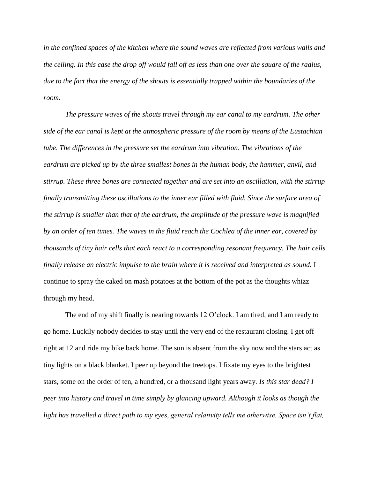*in the confined spaces of the kitchen where the sound waves are reflected from various walls and the ceiling. In this case the drop off would fall off as less than one over the square of the radius, due to the fact that the energy of the shouts is essentially trapped within the boundaries of the room.* 

*The pressure waves of the shouts travel through my ear canal to my eardrum. The other side of the ear canal is kept at the atmospheric pressure of the room by means of the Eustachian tube. The differences in the pressure set the eardrum into vibration. The vibrations of the eardrum are picked up by the three smallest bones in the human body, the hammer, anvil, and stirrup. These three bones are connected together and are set into an oscillation, with the stirrup finally transmitting these oscillations to the inner ear filled with fluid. Since the surface area of the stirrup is smaller than that of the eardrum, the amplitude of the pressure wave is magnified by an order of ten times. The waves in the fluid reach the Cochlea of the inner ear, covered by thousands of tiny hair cells that each react to a corresponding resonant frequency. The hair cells finally release an electric impulse to the brain where it is received and interpreted as sound.* I continue to spray the caked on mash potatoes at the bottom of the pot as the thoughts whizz through my head.

The end of my shift finally is nearing towards 12 O'clock. I am tired, and I am ready to go home. Luckily nobody decides to stay until the very end of the restaurant closing. I get off right at 12 and ride my bike back home. The sun is absent from the sky now and the stars act as tiny lights on a black blanket. I peer up beyond the treetops. I fixate my eyes to the brightest stars, some on the order of ten, a hundred, or a thousand light years away. *Is this star dead? I peer into history and travel in time simply by glancing upward. Although it looks as though the light has travelled a direct path to my eyes, general relativity tells me otherwise. Space isn't flat,*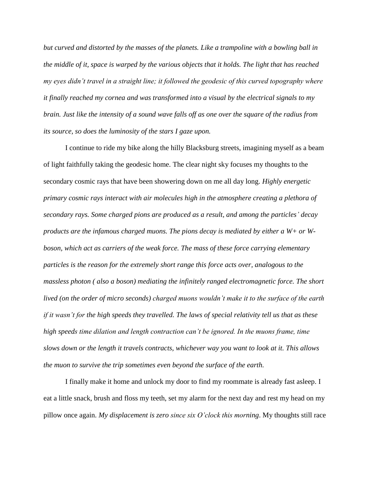*but curved and distorted by the masses of the planets. Like a trampoline with a bowling ball in the middle of it, space is warped by the various objects that it holds. The light that has reached my eyes didn't travel in a straight line; it followed the geodesic of this curved topography where it finally reached my cornea and was transformed into a visual by the electrical signals to my brain. Just like the intensity of a sound wave falls off as one over the square of the radius from its source, so does the luminosity of the stars I gaze upon.* 

I continue to ride my bike along the hilly Blacksburg streets, imagining myself as a beam of light faithfully taking the geodesic home. The clear night sky focuses my thoughts to the secondary cosmic rays that have been showering down on me all day long. *Highly energetic primary cosmic rays interact with air molecules high in the atmosphere creating a plethora of secondary rays. Some charged pions are produced as a result, and among the particles' decay products are the infamous charged muons. The pions decay is mediated by either a W+ or Wboson, which act as carriers of the weak force. The mass of these force carrying elementary particles is the reason for the extremely short range this force acts over, analogous to the massless photon ( also a boson) mediating the infinitely ranged electromagnetic force. The short lived (on the order of micro seconds) charged muons wouldn't make it to the surface of the earth if it wasn't for the high speeds they travelled. The laws of special relativity tell us that as these high speeds time dilation and length contraction can't be ignored. In the muons frame, time slows down or the length it travels contracts, whichever way you want to look at it. This allows the muon to survive the trip sometimes even beyond the surface of the earth.*

I finally make it home and unlock my door to find my roommate is already fast asleep. I eat a little snack, brush and floss my teeth, set my alarm for the next day and rest my head on my pillow once again. *My displacement is zero since six O'clock this morning*. My thoughts still race